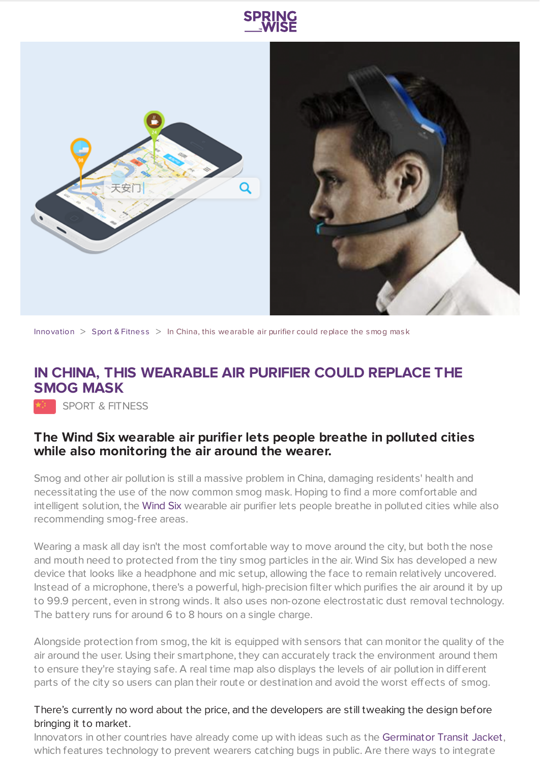



[Innovation](https://www.springwise.com/search?type=innovation)  $>$  Sport & [Fitnes](https://www.springwise.com/search?type=innovation§or=sport-fitness)s  $>$  In China, this wearable air purifier could replace the smog mask

## **IN CHINA, THIS WEARABLE AIR PURIFIER COULD REPLACE THE SMOG MASK**

**SPORT & FITNESS** 

## **The Wind Six wearable air purifier lets people breathe in polluted cities while also monitoring the air around the wearer.**

Smog and other air pollution is still a massive problem in China, damaging residents' health and necessitating the use of the now common smog mask. Hoping to find a more comfortable and intelligent solution, the [Wind](http://www.any-air.cn/) Six wearable air purifier lets people breathe in polluted cities while also recommending smog-free areas.

Wearing a mask all day isn't the most comfortable way to move around the city, but both the nose and mouth need to protected from the tiny smog particles in the air. Wind Six has developed a new device that looks like a headphone and mic setup, allowing the face to remain relatively uncovered. Instead of a microphone, there's a powerful, high-precision filter which purifies the air around it by up to 99.9 percent, even in strong winds. It also uses non-ozone electrostatic dust removal technology. The battery runs for around 6 to 8 hours on a single charge.

Alongside protection from smog, the kit is equipped with sensors that can monitor the quality of the air around the user. Using their smartphone, they can accurately track the environment around them to ensure they're staying safe. A real time map also displays the levels of air pollution in different parts of the city so users can plan their route or destination and avoid the worst effects of smog.

## There's currently no word about the price, and the developers are still tweaking the design before bringing it to market.

Innovators in other countries have already come up with ideas such as the [Germinator](https://www.springwise.com/jacket-stop-catching-cold/) Transit Jacket, which features technology to prevent wearers catching bugs in public. Are there ways to integrate